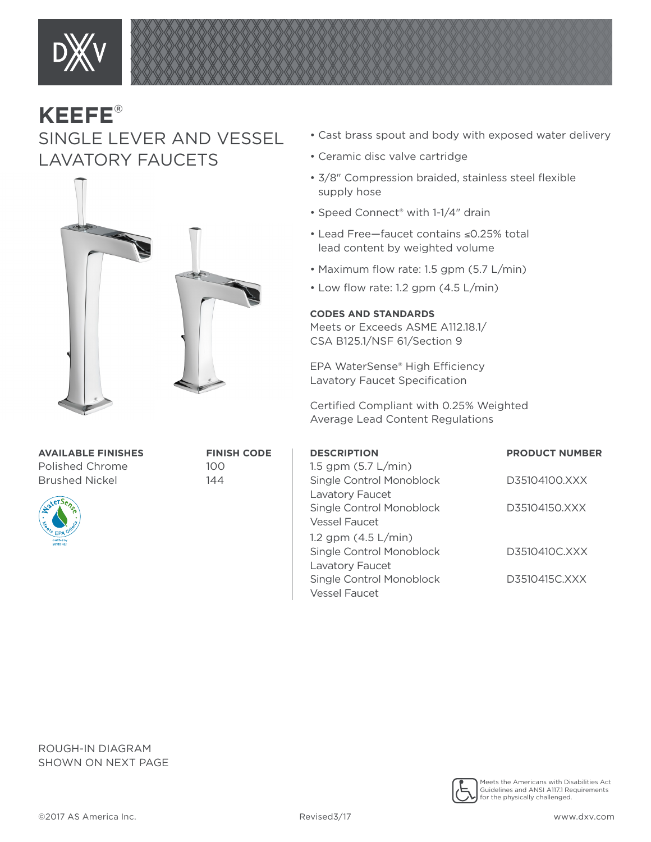

## **KEEFE**® SINGLE LEVER AND VESSEL LAVATORY FAUCETS



**AVAILABLE FINISHES FINISH CODE** Polished Chrome 100 Brushed Nickel 144



- Cast brass spout and body with exposed water delivery
- Ceramic disc valve cartridge
- 3/8" Compression braided, stainless steel flexible supply hose
- Speed Connect® with 1-1/4" drain
- Lead Free—faucet contains ≤0.25% total lead content by weighted volume
- Maximum flow rate: 1.5 gpm (5.7 L/min)
- Low flow rate: 1.2 gpm (4.5 L/min)

## **CODES AND STANDARDS**

Meets or Exceeds ASME A112.18.1/ CSA B125.1/NSF 61/Section 9

EPA WaterSense® High Efficiency Lavatory Faucet Specification

Certified Compliant with 0.25% Weighted Average Lead Content Regulations

| <b>DESCRIPTION</b>       | <b>PRODUCT NUMBER</b> |
|--------------------------|-----------------------|
| 1.5 gpm $(5.7 L/min)$    |                       |
| Single Control Monoblock | D35104100.XXX         |
| Lavatory Faucet          |                       |
| Single Control Monoblock | D35104150.XXX         |
| <b>Vessel Faucet</b>     |                       |
| 1.2 gpm $(4.5 L/min)$    |                       |
| Single Control Monoblock | D3510410C.XXX         |
| Lavatory Faucet          |                       |
| Single Control Monoblock | D3510415C.XXX         |
| <b>Vessel Faucet</b>     |                       |

ROUGH-IN DIAGRAM SHOWN ON NEXT PAGE